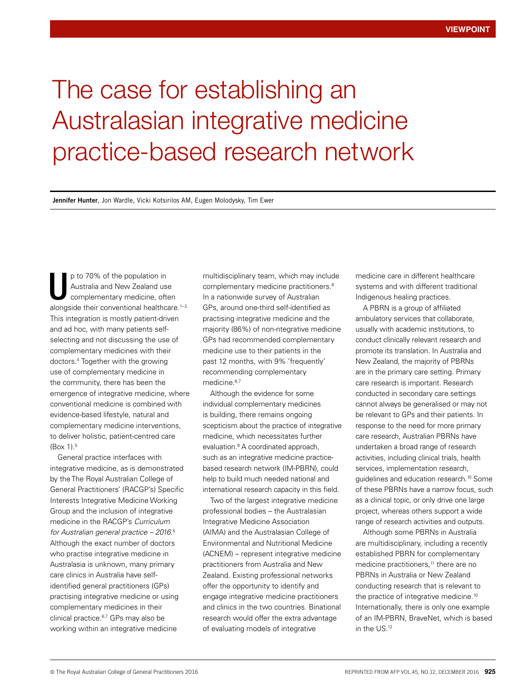## The case for establishing an Australasian integrative medicine practice-based research network

**Jennifer Hunter**, Jon Wardle, Vicki Kotsirilos AM, Eugen Molodysky, Tim Ewer

p to 70% of the population in Australia and New Zealand use complementary medicine, often alongside their conventional healthcare.<sup>1-3</sup> This integration is mostly patient-driven and ad hoc, with many patients selfselecting and not discussing the use of complementary medicines with their doctors.4 Together with the growing use of complementary medicine in the community, there has been the emergence of integrative medicine, where conventional medicine is combined with evidence-based lifestyle, natural and complementary medicine interventions, to deliver holistic, patient-centred care (Box 1).5 U

General practice interfaces with integrative medicine, as is demonstrated by the The Royal Australian College of General Practitioners' (RACGP's) Specific Interests Integrative Medicine Working Group and the inclusion of integrative medicine in the RACGP's *Curriculum for Australian general practice – 2016*. 5 Although the exact number of doctors who practise integrative medicine in Australasia is unknown, many primary care clinics in Australia have selfidentified general practitioners (GPs) practising integrative medicine or using complementary medicines in their clinical practice.<sup>6,7</sup> GPs may also be working within an integrative medicine

multidisciplinary team, which may include complementary medicine practitioners.<sup>8</sup> In a nationwide survey of Australian GPs, around one-third self-identified as practising integrative medicine and the majority (86%) of non-ntegrative medicine GPs had recommended complementary medicine use to their patients in the past 12 months, with 9% 'frequently' recommending complementary medicine.<sup>6,7</sup>

Although the evidence for some individual complementary medicines is building, there remains ongoing scepticism about the practice of integrative medicine, which necessitates further evaluation.9 A coordinated approach, such as an integrative medicine practicebased research network (IM-PBRN), could help to build much needed national and international research capacity in this field.

Two of the largest integrative medicine professional bodies – the Australasian Integrative Medicine Association (AIMA) and the Australasian College of Environmental and Nutritional Medicine (ACNEM) – represent integrative medicine practitioners from Australia and New Zealand. Existing professional networks offer the opportunity to identify and engage integrative medicine practitioners and clinics in the two countries. Binational research would offer the extra advantage of evaluating models of integrative

medicine care in different healthcare systems and with different traditional Indigenous healing practices.

A PBRN is a group of affiliated ambulatory services that collaborate, usually with academic institutions, to conduct clinically relevant research and promote its translation. In Australia and New Zealand, the majority of PBRNs are in the primary care setting. Primary care research is important. Research conducted in secondary care settings cannot always be generalised or may not be relevant to GPs and their patients. In response to the need for more primary care research, Australian PBRNs have undertaken a broad range of research activities, including clinical trials, health services, implementation research, guidelines and education research.10 Some of these PBRNs have a narrow focus, such as a clinical topic, or only drive one large project, whereas others support a wide range of research activities and outputs.

Although some PBRNs in Australia are multidisciplinary, including a recently established PBRN for complementary medicine practitioners,<sup>11</sup> there are no PBRNs in Australia or New Zealand conducting research that is relevant to the practice of integrative medicine.10 Internationally, there is only one example of an IM-PBRN, BraveNet, which is based in the US.12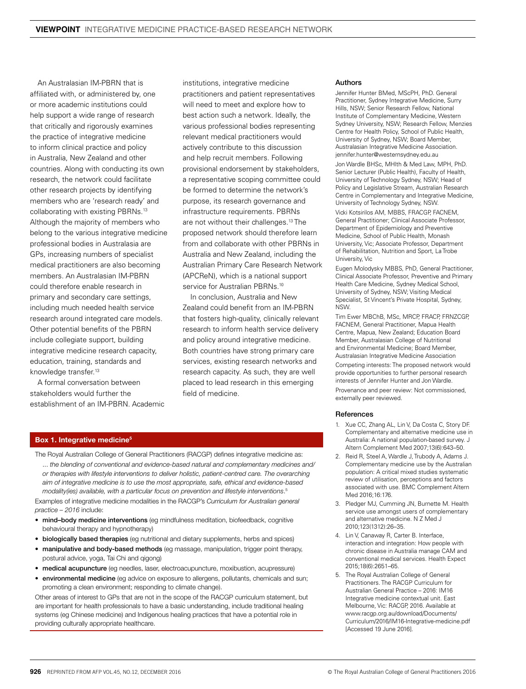An Australasian IM-PBRN that is affiliated with, or administered by, one or more academic institutions could help support a wide range of research that critically and rigorously examines the practice of integrative medicine to inform clinical practice and policy in Australia, New Zealand and other countries. Along with conducting its own research, the network could facilitate other research projects by identifying members who are 'research ready' and collaborating with existing PBRNs.13 Although the majority of members who belong to the various integrative medicine professional bodies in Australasia are GPs, increasing numbers of specialist medical practitioners are also becoming members. An Australasian IM-PBRN could therefore enable research in primary and secondary care settings, including much needed health service research around integrated care models. Other potential benefits of the PBRN include collegiate support, building integrative medicine research capacity, education, training, standards and knowledge transfer.<sup>13</sup>

A formal conversation between stakeholders would further the establishment of an IM-PBRN. Academic institutions, integrative medicine practitioners and patient representatives will need to meet and explore how to best action such a network. Ideally, the various professional bodies representing relevant medical practitioners would actively contribute to this discussion and help recruit members. Following provisional endorsement by stakeholders, a representative scoping committee could be formed to determine the network's purpose, its research governance and infrastructure requirements. PBRNs are not without their challenges.<sup>13</sup> The proposed network should therefore learn from and collaborate with other PBRNs in Australia and New Zealand, including the Australian Primary Care Research Network (APCReN), which is a national support service for Australian PBRNs.<sup>10</sup>

In conclusion, Australia and New Zealand could benefit from an IM-PBRN that fosters high-quality, clinically relevant research to inform health service delivery and policy around integrative medicine. Both countries have strong primary care services, existing research networks and research capacity. As such, they are well placed to lead research in this emerging field of medicine.

## Authors

Jennifer Hunter BMed, MScPH, PhD. General Practitioner, Sydney Integrative Medicine, Surry Hills, NSW; Senior Research Fellow, National Institute of Complementary Medicine, Western Sydney University, NSW; Research Fellow, Menzies Centre for Health Policy, School of Public Health, University of Sydney, NSW; Board Member, Australasian Integrative Medicine Association. jennifer.hunter@westernsydney.edu.au Jon Wardle BHSc, MHlth & Med Law, MPH, PhD. Senior Lecturer (Public Health), Faculty of Health, University of Technology Sydney, NSW; Head of Policy and Legislative Stream, Australian Research Centre in Complementary and Integrative Medicine, University of Technology Sydney, NSW. Vicki Kotsirilos AM, MBBS, FRACGP, FACNEM, General Practitioner; Clinical Associate Professor, Department of Epidemiology and Preventive Medicine, School of Public Health, Monash University, Vic; Associate Professor, Department of Rehabilitation, Nutrition and Sport, La Trobe University, Vic

Eugen Molodysky MBBS, PhD, General Practitioner, Clinical Associate Professor, Preventive and Primary Health Care Medicine, Sydney Medical School, University of Sydney, NSW; Visiting Medical Specialist, St Vincent's Private Hospital, Sydney, NSW.

Tim Ewer MBChB, MSc, MRCP, FRACP, FRNZCGP, FACNEM, General Practitioner, Mapua Health Centre, Mapua, New Zealand; Education Board Member, Australasian College of Nutritional and Environmental Medicine; Board Member, Australasian Integrative Medicine Association

Competing interests: The proposed network would provide opportunities to further personal research interests of Jennifer Hunter and Jon Wardle. Provenance and peer review: Not commissioned, externally peer reviewed.

## References

- 1. Xue CC, Zhang AL, Lin V, Da Costa C, Story DF. Complementary and alternative medicine use in Australia: A national population-based survey. J Altern Complement Med 2007;13(6):643–50.
- 2. Reid R, Steel A, Wardle J, Trubody A, Adams J. Complementary medicine use by the Australian population: A critical mixed studies systematic review of utilisation, perceptions and factors associated with use. BMC Complement Altern Med 2016;16:176.
- 3. Pledger MJ, Cumming JN, Burnette M. Health service use amongst users of complementary and alternative medicine. N Z Med J 2010;123(1312):26–35.
- 4. Lin V, Canaway R, Carter B. Interface, interaction and integration: How people with chronic disease in Australia manage CAM and conventional medical services. Health Expect 2015;18(6):2651–65.
- 5. The Royal Australian College of General Practitioners. The RACGP Curriculum for Australian General Practice – 2016: IM16 Integrative medicine contextual unit. East Melbourne, Vic: RACGP, 2016. Available at www.racgp.org.au/download/Documents/ Curriculum/2016/IM16-Integrative-medicine.pdf [Accessed 19 June 2016].

## Box 1. Integrative medicine<sup>5</sup>

The Royal Australian College of General Practitioners (RACGP) defines integrative medicine as: ... *the blending of conventional and evidence-based natural and complementary medicines and/ or therapies with lifestyle interventions to deliver holistic, patient-centred care. The overarching aim of integrative medicine is to use the most appropriate, safe, ethical and evidence-based modality(ies) available, with a particular focus on prevention and lifestyle interventions*. 5

Examples of integrative medicine modalities in the RACGP's *Curriculum for Australian general practice – 2016* include:

- mind–body medicine interventions (eg mindfulness meditation, biofeedback, cognitive behavioural therapy and hypnotherapy)
- biologically based therapies (eg nutritional and dietary supplements, herbs and spices)
- manipulative and body-based methods (eg massage, manipulation, trigger point therapy, postural advice, yoga, Tai Chi and qigong)
- medical acupuncture (eg needles, laser, electroacupuncture, moxibustion, acupressure)
- environmental medicine (eg advice on exposure to allergens, pollutants, chemicals and sun; promoting a clean environment; responding to climate change).

Other areas of interest to GPs that are not in the scope of the RACGP curriculum statement, but are important for health professionals to have a basic understanding, include traditional healing systems (eg Chinese medicine) and Indigenous healing practices that have a potential role in providing culturally appropriate healthcare.